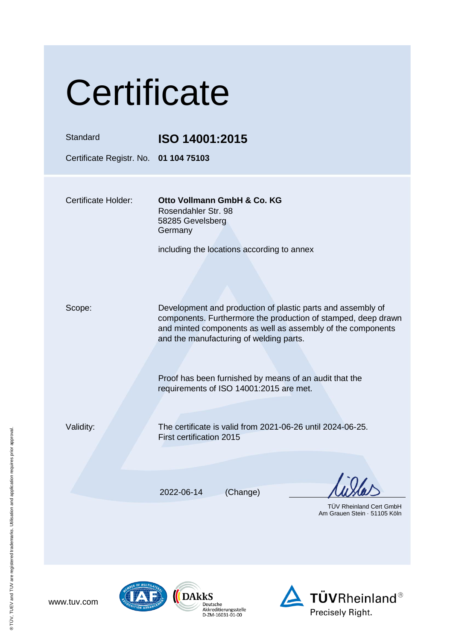| Certificate                           |                                                                                                                                                                                                                                        |  |
|---------------------------------------|----------------------------------------------------------------------------------------------------------------------------------------------------------------------------------------------------------------------------------------|--|
| <b>Standard</b>                       | ISO 14001:2015                                                                                                                                                                                                                         |  |
| Certificate Registr. No. 01 104 75103 |                                                                                                                                                                                                                                        |  |
| <b>Certificate Holder:</b>            | Otto Vollmann GmbH & Co. KG<br>Rosendahler Str. 98<br>58285 Gevelsberg<br>Germany                                                                                                                                                      |  |
|                                       | including the locations according to annex                                                                                                                                                                                             |  |
| Scope:                                | Development and production of plastic parts and assembly of<br>components. Furthermore the production of stamped, deep drawn<br>and minted components as well as assembly of the components<br>and the manufacturing of welding parts. |  |
|                                       | Proof has been furnished by means of an audit that the<br>requirements of ISO 14001:2015 are met.                                                                                                                                      |  |
| Validity:                             | The certificate is valid from 2021-06-26 until 2024-06-25.<br>First certification 2015                                                                                                                                                 |  |
|                                       | 2022-06-14<br>(Change)                                                                                                                                                                                                                 |  |
|                                       | <b>TUV Rheinland Cert GmbH</b><br>Am Grauen Stein · 51105 Köln                                                                                                                                                                         |  |



www.tuv.com

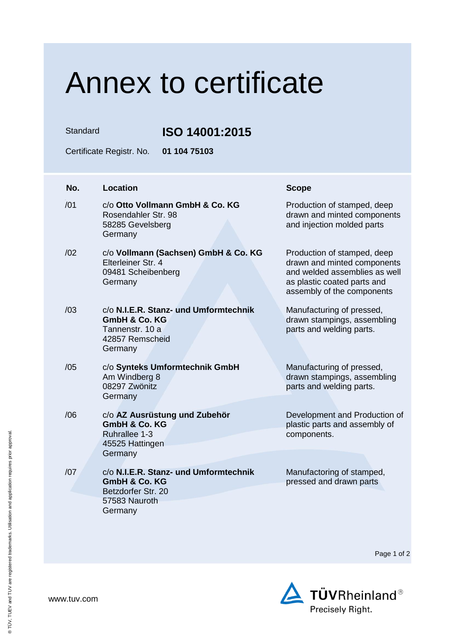## Annex to certificate

Standard **ISO 14001:2015**

Certificate Registr. No. **01 104 75103**

| No. | <b>Location</b>                                                                                                     | <b>Scope</b>                                                                                                                                             |
|-----|---------------------------------------------------------------------------------------------------------------------|----------------------------------------------------------------------------------------------------------------------------------------------------------|
| /01 | c/o Otto Vollmann GmbH & Co. KG<br>Rosendahler Str. 98<br>58285 Gevelsberg<br>Germany                               | Production of stamped, deep<br>drawn and minted components<br>and injection molded parts                                                                 |
| /02 | c/o Vollmann (Sachsen) GmbH & Co. KG<br>Elterleiner Str. 4<br>09481 Scheibenberg<br>Germany                         | Production of stamped, deep<br>drawn and minted components<br>and welded assemblies as well<br>as plastic coated parts and<br>assembly of the components |
| /03 | c/o N.I.E.R. Stanz- und Umformtechnik<br><b>GmbH &amp; Co. KG</b><br>Tannenstr, 10 a<br>42857 Remscheid<br>Germany  | Manufacturing of pressed,<br>drawn stampings, assembling<br>parts and welding parts.                                                                     |
| /05 | c/o Synteks Umformtechnik GmbH<br>Am Windberg 8<br>08297 Zwönitz<br>Germany                                         | Manufacturing of pressed,<br>drawn stampings, assembling<br>parts and welding parts.                                                                     |
| /06 | c/o AZ Ausrüstung und Zubehör<br><b>GmbH &amp; Co. KG</b><br>Ruhrallee 1-3<br>45525 Hattingen<br>Germany            | Development and Production of<br>plastic parts and assembly of<br>components.                                                                            |
| /07 | c/o N.I.E.R. Stanz- und Umformtechnik<br><b>GmbH &amp; Co. KG</b><br>Betzdorfer Str. 20<br>57583 Nauroth<br>Germany | Manufactoring of stamped,<br>pressed and drawn parts                                                                                                     |

Page 1 of 2